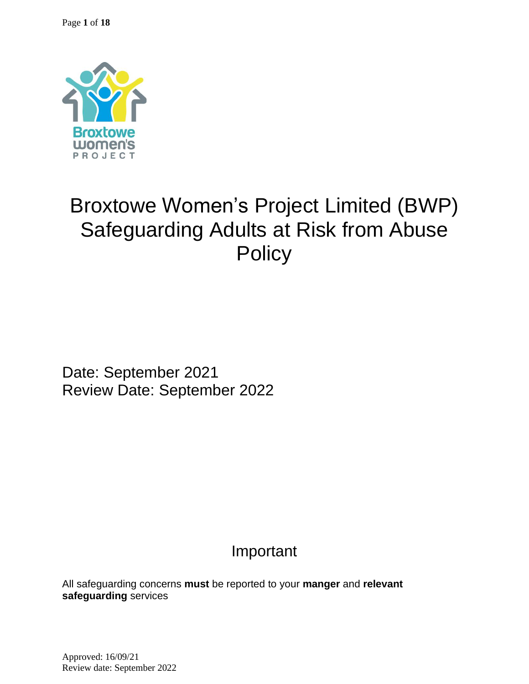

# Broxtowe Women's Project Limited (BWP) Safeguarding Adults at Risk from Abuse **Policy**

Date: September 2021 Review Date: September 2022

## Important

All safeguarding concerns **must** be reported to your **manger** and **relevant safeguarding** services

Approved: 16/09/21 Review date: September 2022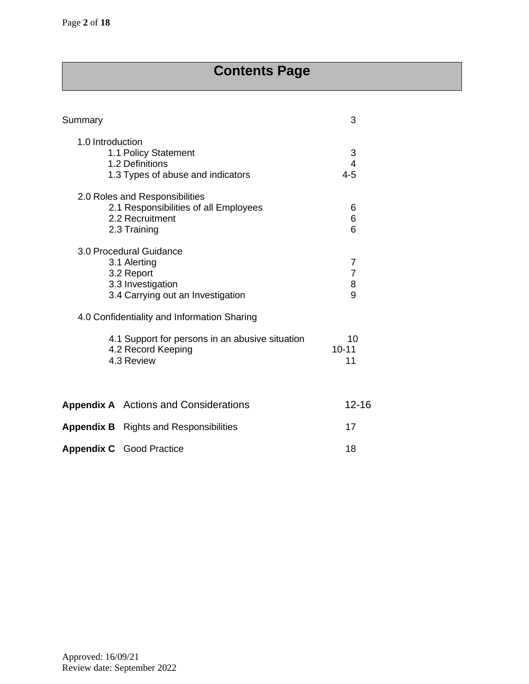## **Contents Page**

| Summary          |                                                                                                                 | 3                             |
|------------------|-----------------------------------------------------------------------------------------------------------------|-------------------------------|
| 1.0 Introduction | 1.1 Policy Statement<br>1.2 Definitions<br>1.3 Types of abuse and indicators                                    | $\frac{3}{4}$<br>$4 - 5$      |
|                  | 2.0 Roles and Responsibilities<br>2.1 Responsibilities of all Employees<br>2.2 Recruitment<br>2.3 Training      | 6<br>6<br>6                   |
|                  | 3.0 Procedural Guidance<br>3.1 Alerting<br>3.2 Report<br>3.3 Investigation<br>3.4 Carrying out an Investigation | 7<br>$\overline{7}$<br>8<br>9 |
|                  | 4.0 Confidentiality and Information Sharing                                                                     |                               |
|                  | 4.1 Support for persons in an abusive situation<br>4.2 Record Keeping<br>4.3 Review                             | 10<br>$10 - 11$<br>11         |
|                  | <b>Appendix A</b> Actions and Considerations                                                                    | $12 - 16$                     |
|                  | <b>Appendix B</b> Rights and Responsibilities                                                                   | 17                            |
|                  | <b>Appendix C</b> Good Practice                                                                                 | 18                            |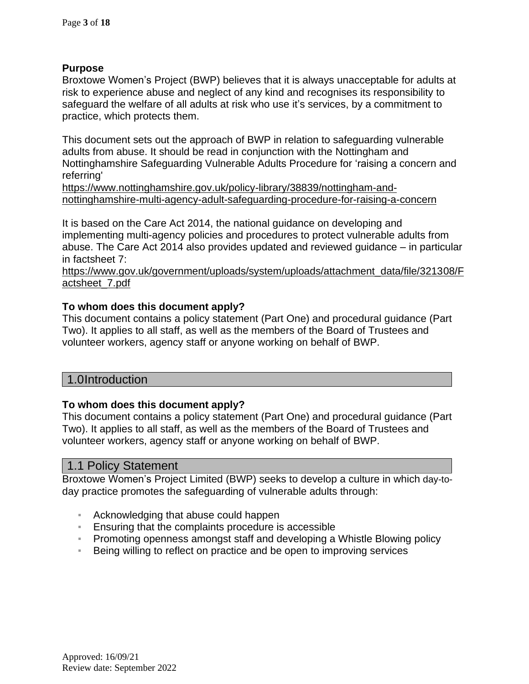## **Purpose**

Broxtowe Women's Project (BWP) believes that it is always unacceptable for adults at risk to experience abuse and neglect of any kind and recognises its responsibility to safeguard the welfare of all adults at risk who use it's services, by a commitment to practice, which protects them.

This document sets out the approach of BWP in relation to safeguarding vulnerable adults from abuse. It should be read in conjunction with the Nottingham and Nottinghamshire Safeguarding Vulnerable Adults Procedure for 'raising a concern and referring'

[https://www.nottinghamshire.gov.uk/policy-library/38839/nottingham-and](https://www.nottinghamshire.gov.uk/policy-library/38839/nottingham-and-nottinghamshire-multi-agency-adult-safeguarding-procedure-for-raising-a-concern)[nottinghamshire-multi-agency-adult-safeguarding-procedure-for-raising-a-concern](https://www.nottinghamshire.gov.uk/policy-library/38839/nottingham-and-nottinghamshire-multi-agency-adult-safeguarding-procedure-for-raising-a-concern)

It is based on the Care Act 2014, the national guidance on developing and implementing multi-agency policies and procedures to protect vulnerable adults from abuse. The Care Act 2014 also provides updated and reviewed guidance – in particular in factsheet 7:

[https://www.gov.uk/government/uploads/system/uploads/attachment\\_data/file/321308/F](https://www.gov.uk/government/uploads/system/uploads/attachment_data/file/321308/Factsheet_7.pdf) [actsheet\\_7.pdf](https://www.gov.uk/government/uploads/system/uploads/attachment_data/file/321308/Factsheet_7.pdf) 

## **To whom does this document apply?**

This document contains a policy statement (Part One) and procedural guidance (Part Two). It applies to all staff, as well as the members of the Board of Trustees and volunteer workers, agency staff or anyone working on behalf of BWP.

## 1.0Introduction

#### **To whom does this document apply?**

This document contains a policy statement (Part One) and procedural guidance (Part Two). It applies to all staff, as well as the members of the Board of Trustees and volunteer workers, agency staff or anyone working on behalf of BWP.

#### 1.1 Policy Statement

Broxtowe Women's Project Limited (BWP) seeks to develop a culture in which day-today practice promotes the safeguarding of vulnerable adults through:

- Acknowledging that abuse could happen
- Ensuring that the complaints procedure is accessible
- **Promoting openness amongst staff and developing a Whistle Blowing policy**
- Being willing to reflect on practice and be open to improving services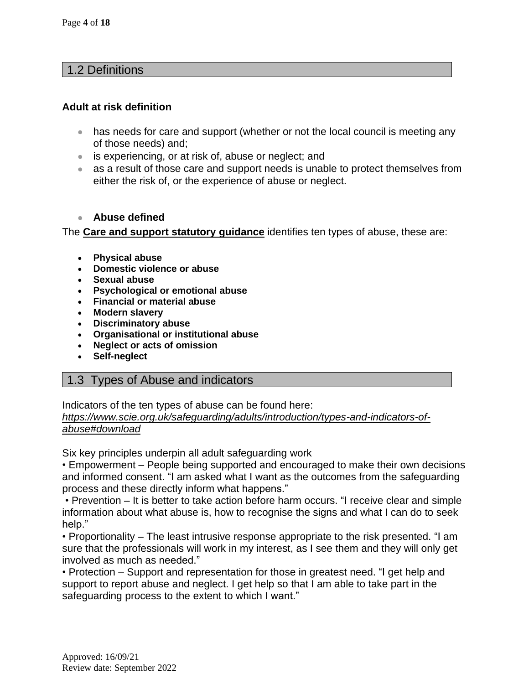## 1.2 Definitions

#### **Adult at risk definition**

- has needs for care and support (whether or not the local council is meeting any of those needs) and;
- is experiencing, or at risk of, abuse or neglect; and
- as a result of those care and support needs is unable to protect themselves from either the risk of, or the experience of abuse or neglect.

#### • **Abuse defined**

The **Care and support statutory [guidance](https://www.gov.uk/government/publications/care-act-statutory-guidance/care-and-support-statutory-guidance)** identifies ten types of abuse, these are:

- **[Physical](https://www.scie.org.uk/safeguarding/adults/introduction/types-and-indicators-of-abuse#physical) abuse**
- **[Domestic](https://www.scie.org.uk/safeguarding/adults/introduction/types-and-indicators-of-abuse#domestic) violence or abuse**
- **[Sexual](https://www.scie.org.uk/safeguarding/adults/introduction/types-and-indicators-of-abuse#sexual) abuse**
- **[Psychological](https://www.scie.org.uk/safeguarding/adults/introduction/types-and-indicators-of-abuse#psychological) or emotional abuse**
- **[Financial](https://www.scie.org.uk/safeguarding/adults/introduction/types-and-indicators-of-abuse#financial) or material abuse**
- **[Modern](https://www.scie.org.uk/safeguarding/adults/introduction/types-and-indicators-of-abuse#modern-slavery) slavery**
- **[Discriminatory](https://www.scie.org.uk/safeguarding/adults/introduction/types-and-indicators-of-abuse#discriminatory) abuse**
- **[Organisational](https://www.scie.org.uk/safeguarding/adults/introduction/types-and-indicators-of-abuse#organisational) or institutional abuse**
- **Neglect or acts of [omission](https://www.scie.org.uk/safeguarding/adults/introduction/types-and-indicators-of-abuse#neglect)**
- **[Self-neglect](https://www.scie.org.uk/safeguarding/adults/introduction/types-and-indicators-of-abuse#self-neglect)**

## 1.3 Types of Abuse and indicators

Indicators of the ten types of abuse can be found here:

#### *[https://www.scie.org.uk/safeguarding/adults/introduction/types-and-indicators-of](https://www.scie.org.uk/safeguarding/adults/introduction/types-and-indicators-of-abuse#download)[abuse#download](https://www.scie.org.uk/safeguarding/adults/introduction/types-and-indicators-of-abuse#download)*

Six key principles underpin all adult safeguarding work

• Empowerment – People being supported and encouraged to make their own decisions and informed consent. "I am asked what I want as the outcomes from the safeguarding process and these directly inform what happens."

• Prevention – It is better to take action before harm occurs. "I receive clear and simple information about what abuse is, how to recognise the signs and what I can do to seek help."

• Proportionality – The least intrusive response appropriate to the risk presented. "I am sure that the professionals will work in my interest, as I see them and they will only get involved as much as needed."

• Protection – Support and representation for those in greatest need. "I get help and support to report abuse and neglect. I get help so that I am able to take part in the safeguarding process to the extent to which I want."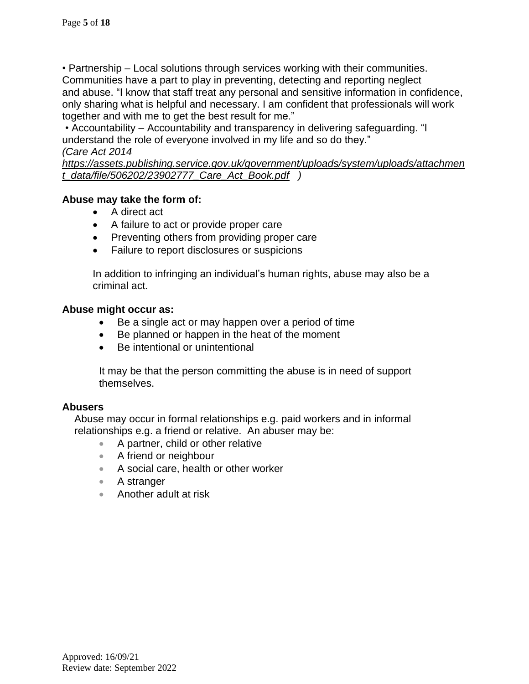• Partnership – Local solutions through services working with their communities. Communities have a part to play in preventing, detecting and reporting neglect and abuse. "I know that staff treat any personal and sensitive information in confidence, only sharing what is helpful and necessary. I am confident that professionals will work together and with me to get the best result for me."

• Accountability – Accountability and transparency in delivering safeguarding. "I understand the role of everyone involved in my life and so do they." *(Care Act 2014*

*[https://assets.publishing.service.gov.uk/government/uploads/system/uploads/attachmen](https://assets.publishing.service.gov.uk/government/uploads/system/uploads/attachment_data/file/506202/23902777_Care_Act_Book.pdf) [t\\_data/file/506202/23902777\\_Care\\_Act\\_Book.pdf](https://assets.publishing.service.gov.uk/government/uploads/system/uploads/attachment_data/file/506202/23902777_Care_Act_Book.pdf) )*

## **Abuse may take the form of:**

- A direct act
- A failure to act or provide proper care
- Preventing others from providing proper care
- Failure to report disclosures or suspicions

In addition to infringing an individual's human rights, abuse may also be a criminal act.

## **Abuse might occur as:**

- Be a single act or may happen over a period of time
- Be planned or happen in the heat of the moment
- Be intentional or unintentional

It may be that the person committing the abuse is in need of support themselves.

## **Abusers**

Abuse may occur in formal relationships e.g. paid workers and in informal relationships e.g. a friend or relative. An abuser may be:

- A partner, child or other relative
- A friend or neighbour
- A social care, health or other worker
- A stranger
- Another adult at risk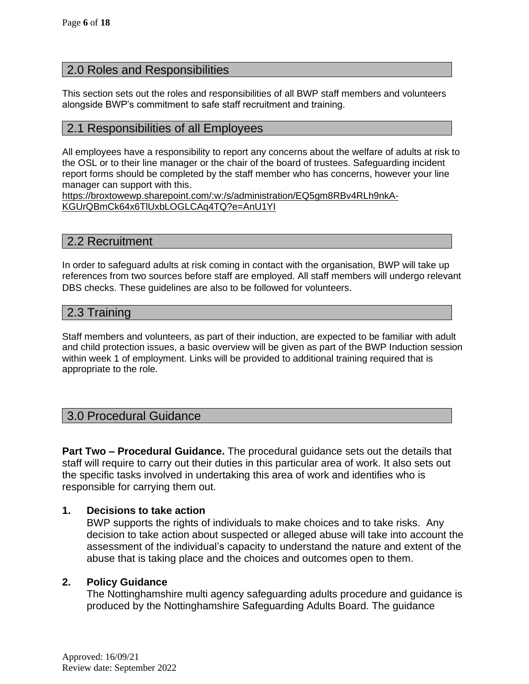## 2.0 Roles and Responsibilities

This section sets out the roles and responsibilities of all BWP staff members and volunteers alongside BWP's commitment to safe staff recruitment and training.

## 2.1 Responsibilities of all Employees

All employees have a responsibility to report any concerns about the welfare of adults at risk to the OSL or to their line manager or the chair of the board of trustees. Safeguarding incident report forms should be completed by the staff member who has concerns, however your line manager can support with this.

[https://broxtowewp.sharepoint.com/:w:/s/administration/EQ5gm8RBv4RLh9nkA-](https://broxtowewp.sharepoint.com/:w:/s/administration/EQ5gm8RBv4RLh9nkA-KGUrQBmCk64x6TlUxbLOGLCAq4TQ?e=AnU1YI)[KGUrQBmCk64x6TlUxbLOGLCAq4TQ?e=AnU1YI](https://broxtowewp.sharepoint.com/:w:/s/administration/EQ5gm8RBv4RLh9nkA-KGUrQBmCk64x6TlUxbLOGLCAq4TQ?e=AnU1YI)

## 2.2 Recruitment

In order to safeguard adults at risk coming in contact with the organisation, BWP will take up references from two sources before staff are employed. All staff members will undergo relevant DBS checks. These guidelines are also to be followed for volunteers.

## 2.3 Training

Staff members and volunteers, as part of their induction, are expected to be familiar with adult and child protection issues, a basic overview will be given as part of the BWP Induction session within week 1 of employment. Links will be provided to additional training required that is appropriate to the role.

## 3.0 Procedural Guidance

**Part Two – Procedural Guidance.** The procedural guidance sets out the details that staff will require to carry out their duties in this particular area of work. It also sets out the specific tasks involved in undertaking this area of work and identifies who is responsible for carrying them out.

#### **1. Decisions to take action**

BWP supports the rights of individuals to make choices and to take risks. Any decision to take action about suspected or alleged abuse will take into account the assessment of the individual's capacity to understand the nature and extent of the abuse that is taking place and the choices and outcomes open to them.

#### **2. Policy Guidance**

The Nottinghamshire multi agency safeguarding adults procedure and guidance is produced by the Nottinghamshire Safeguarding Adults Board. The guidance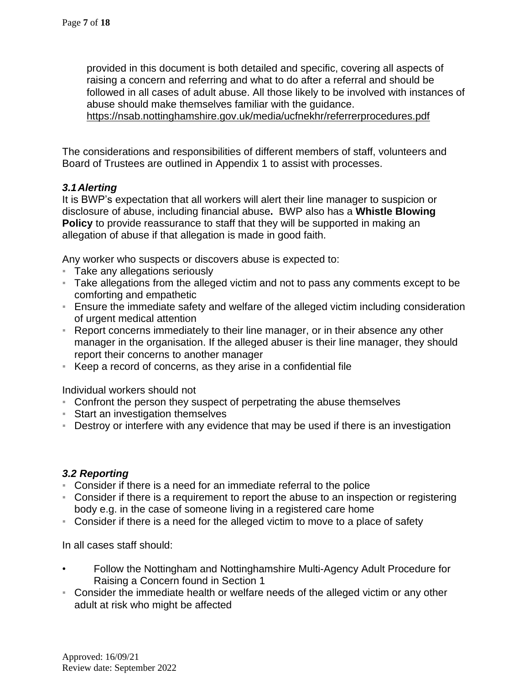provided in this document is both detailed and specific, covering all aspects of raising a concern and referring and what to do after a referral and should be followed in all cases of adult abuse. All those likely to be involved with instances of abuse should make themselves familiar with the guidance. <https://nsab.nottinghamshire.gov.uk/media/ucfnekhr/referrerprocedures.pdf>

The considerations and responsibilities of different members of staff, volunteers and Board of Trustees are outlined in Appendix 1 to assist with processes.

## *3.1Alerting*

It is BWP's expectation that all workers will alert their line manager to suspicion or disclosure of abuse, including financial abuse**.** BWP also has a **Whistle Blowing Policy** to provide reassurance to staff that they will be supported in making an allegation of abuse if that allegation is made in good faith.

Any worker who suspects or discovers abuse is expected to:

- **Take any allegations seriously**
- Take allegations from the alleged victim and not to pass any comments except to be comforting and empathetic
- **Ensure the immediate safety and welfare of the alleged victim including consideration** of urgent medical attention
- **EXEL** Report concerns immediately to their line manager, or in their absence any other manager in the organisation. If the alleged abuser is their line manager, they should report their concerns to another manager
- Keep a record of concerns, as they arise in a confidential file

Individual workers should not

- Confront the person they suspect of perpetrating the abuse themselves
- Start an investigation themselves
- **EXT** Destroy or interfere with any evidence that may be used if there is an investigation

## *3.2 Reporting*

- Consider if there is a need for an immediate referral to the police
- **EX** Consider if there is a requirement to report the abuse to an inspection or registering body e.g. in the case of someone living in a registered care home
- Consider if there is a need for the alleged victim to move to a place of safety

In all cases staff should:

- Follow the Nottingham and Nottinghamshire Multi-Agency Adult Procedure for Raising a Concern found in Section 1
- Consider the immediate health or welfare needs of the alleged victim or any other adult at risk who might be affected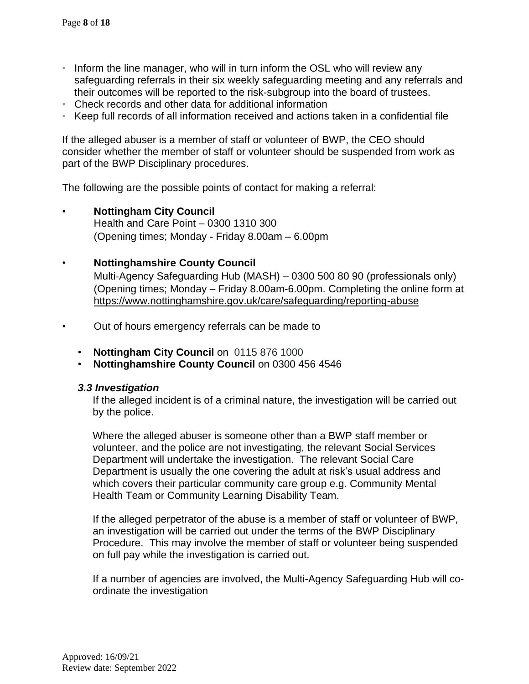- Inform the line manager, who will in turn inform the OSL who will review any safeguarding referrals in their six weekly safeguarding meeting and any referrals and their outcomes will be reported to the risk-subgroup into the board of trustees.
- Check records and other data for additional information
- Keep full records of all information received and actions taken in a confidential file

If the alleged abuser is a member of staff or volunteer of BWP, the CEO should consider whether the member of staff or volunteer should be suspended from work as part of the BWP Disciplinary procedures.

The following are the possible points of contact for making a referral:

- **Nottingham City Council** Health and Care Point – 0300 1310 300 (Opening times; Monday ‐ Friday 8.00am – 6.00pm
- **Nottinghamshire County Council**

Multi‐Agency Safeguarding Hub (MASH) – 0300 500 80 90 (professionals only) (Opening times; Monday – Friday 8.00am-6.00pm. Completing the online form at <https://www.nottinghamshire.gov.uk/care/safeguarding/reporting-abuse>

- Out of hours emergency referrals can be made to
	- **Nottingham City Council** on 0115 876 1000
	- **Nottinghamshire County Council** on 0300 456 4546

#### *3.3 Investigation*

If the alleged incident is of a criminal nature, the investigation will be carried out by the police.

Where the alleged abuser is someone other than a BWP staff member or volunteer, and the police are not investigating, the relevant Social Services Department will undertake the investigation. The relevant Social Care Department is usually the one covering the adult at risk's usual address and which covers their particular community care group e.g. Community Mental Health Team or Community Learning Disability Team.

If the alleged perpetrator of the abuse is a member of staff or volunteer of BWP, an investigation will be carried out under the terms of the BWP Disciplinary Procedure. This may involve the member of staff or volunteer being suspended on full pay while the investigation is carried out.

If a number of agencies are involved, the Multi-Agency Safeguarding Hub will coordinate the investigation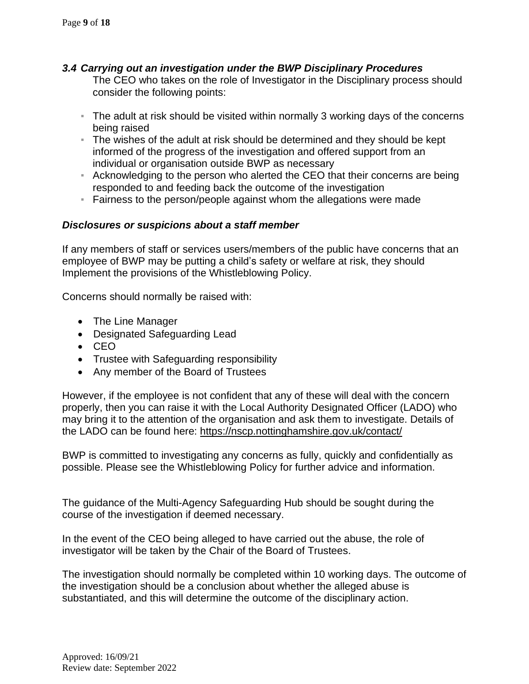## *3.4 Carrying out an investigation under the BWP Disciplinary Procedures*

The CEO who takes on the role of Investigator in the Disciplinary process should consider the following points:

- The adult at risk should be visited within normally 3 working days of the concerns being raised
- The wishes of the adult at risk should be determined and they should be kept informed of the progress of the investigation and offered support from an individual or organisation outside BWP as necessary
- **EXECT** Acknowledging to the person who alerted the CEO that their concerns are being responded to and feeding back the outcome of the investigation
- **Example 1** Fairness to the person/people against whom the allegations were made

## *Disclosures or suspicions about a staff member*

If any members of staff or services users/members of the public have concerns that an employee of BWP may be putting a child's safety or welfare at risk, they should Implement the provisions of the Whistleblowing Policy.

Concerns should normally be raised with:

- The Line Manager
- Designated Safeguarding Lead
- CEO
- Trustee with Safeguarding responsibility
- Any member of the Board of Trustees

However, if the employee is not confident that any of these will deal with the concern properly, then you can raise it with the Local Authority Designated Officer (LADO) who may bring it to the attention of the organisation and ask them to investigate. Details of the LADO can be found here: <https://nscp.nottinghamshire.gov.uk/contact/>

BWP is committed to investigating any concerns as fully, quickly and confidentially as possible. Please see the Whistleblowing Policy for further advice and information.

The guidance of the Multi-Agency Safeguarding Hub should be sought during the course of the investigation if deemed necessary.

In the event of the CEO being alleged to have carried out the abuse, the role of investigator will be taken by the Chair of the Board of Trustees.

The investigation should normally be completed within 10 working days. The outcome of the investigation should be a conclusion about whether the alleged abuse is substantiated, and this will determine the outcome of the disciplinary action.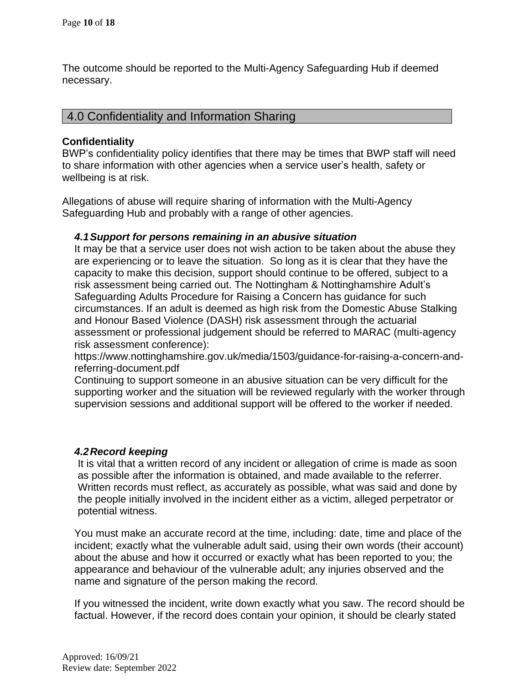The outcome should be reported to the Multi-Agency Safeguarding Hub if deemed necessary.

## 4.0 Confidentiality and Information Sharing

#### **Confidentiality**

BWP's confidentiality policy identifies that there may be times that BWP staff will need to share information with other agencies when a service user's health, safety or wellbeing is at risk.

Allegations of abuse will require sharing of information with the Multi-Agency Safeguarding Hub and probably with a range of other agencies.

#### *4.1Support for persons remaining in an abusive situation*

It may be that a service user does not wish action to be taken about the abuse they are experiencing or to leave the situation. So long as it is clear that they have the capacity to make this decision, support should continue to be offered, subject to a risk assessment being carried out. The Nottingham & Nottinghamshire Adult's Safeguarding Adults Procedure for Raising a Concern has guidance for such circumstances. If an adult is deemed as high risk from the Domestic Abuse Stalking and Honour Based Violence (DASH) risk assessment through the actuarial assessment or professional judgement should be referred to MARAC (multi-agency risk assessment conference):

https://www.nottinghamshire.gov.uk/media/1503/guidance-for-raising-a-concern-andreferring-document.pdf

Continuing to support someone in an abusive situation can be very difficult for the supporting worker and the situation will be reviewed regularly with the worker through supervision sessions and additional support will be offered to the worker if needed.

#### *4.2Record keeping*

It is vital that a written record of any incident or allegation of crime is made as soon as possible after the information is obtained, and made available to the referrer. Written records must reflect, as accurately as possible, what was said and done by the people initially involved in the incident either as a victim, alleged perpetrator or potential witness.

You must make an accurate record at the time, including: date, time and place of the incident; exactly what the vulnerable adult said, using their own words (their account) about the abuse and how it occurred or exactly what has been reported to you; the appearance and behaviour of the vulnerable adult; any injuries observed and the name and signature of the person making the record.

If you witnessed the incident, write down exactly what you saw. The record should be factual. However, if the record does contain your opinion, it should be clearly stated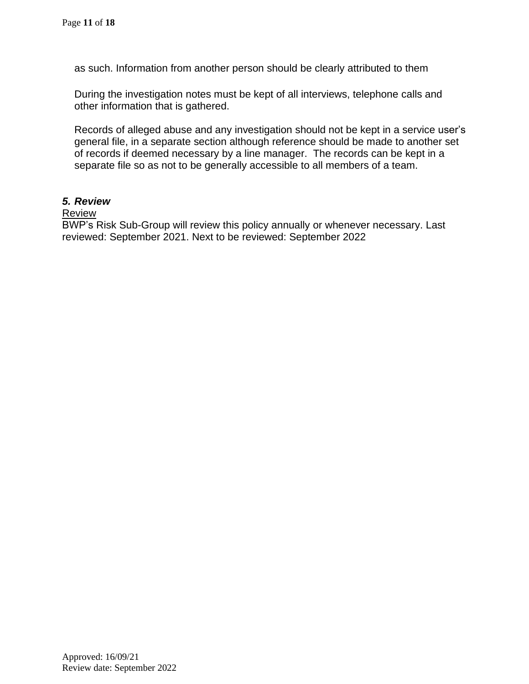as such. Information from another person should be clearly attributed to them

During the investigation notes must be kept of all interviews, telephone calls and other information that is gathered.

Records of alleged abuse and any investigation should not be kept in a service user's general file, in a separate section although reference should be made to another set of records if deemed necessary by a line manager. The records can be kept in a separate file so as not to be generally accessible to all members of a team.

#### *5. Review*

#### **Review**

BWP's Risk Sub-Group will review this policy annually or whenever necessary. Last reviewed: September 2021. Next to be reviewed: September 2022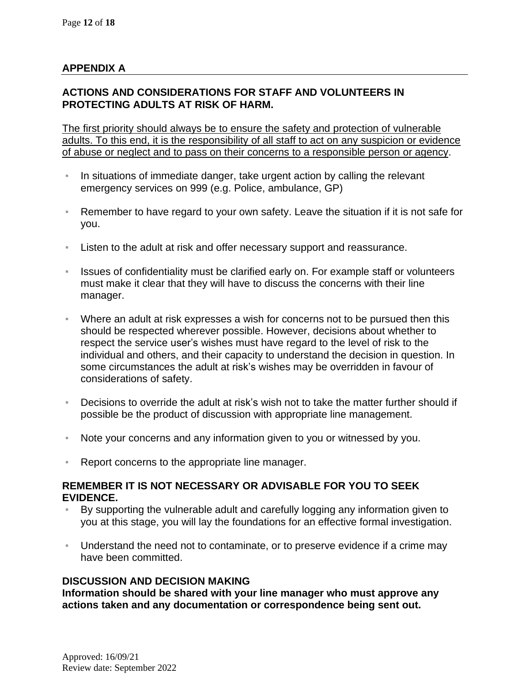## **APPENDIX A**

## **ACTIONS AND CONSIDERATIONS FOR STAFF AND VOLUNTEERS IN PROTECTING ADULTS AT RISK OF HARM.**

The first priority should always be to ensure the safety and protection of vulnerable adults. To this end, it is the responsibility of all staff to act on any suspicion or evidence of abuse or neglect and to pass on their concerns to a responsible person or agency.

- In situations of immediate danger, take urgent action by calling the relevant emergency services on 999 (e.g. Police, ambulance, GP)
- Remember to have regard to your own safety. Leave the situation if it is not safe for you.
- Listen to the adult at risk and offer necessary support and reassurance.
- **EXED ISSUES of confidentiality must be clarified early on. For example staff or volunteers** must make it clear that they will have to discuss the concerns with their line manager.
- Where an adult at risk expresses a wish for concerns not to be pursued then this should be respected wherever possible. However, decisions about whether to respect the service user's wishes must have regard to the level of risk to the individual and others, and their capacity to understand the decision in question. In some circumstances the adult at risk's wishes may be overridden in favour of considerations of safety.
- Decisions to override the adult at risk's wish not to take the matter further should if possible be the product of discussion with appropriate line management.
- Note your concerns and any information given to you or witnessed by you.
- Report concerns to the appropriate line manager.

#### **REMEMBER IT IS NOT NECESSARY OR ADVISABLE FOR YOU TO SEEK EVIDENCE.**

- By supporting the vulnerable adult and carefully logging any information given to you at this stage, you will lay the foundations for an effective formal investigation.
- Understand the need not to contaminate, or to preserve evidence if a crime may have been committed.

#### **DISCUSSION AND DECISION MAKING**

**Information should be shared with your line manager who must approve any actions taken and any documentation or correspondence being sent out.**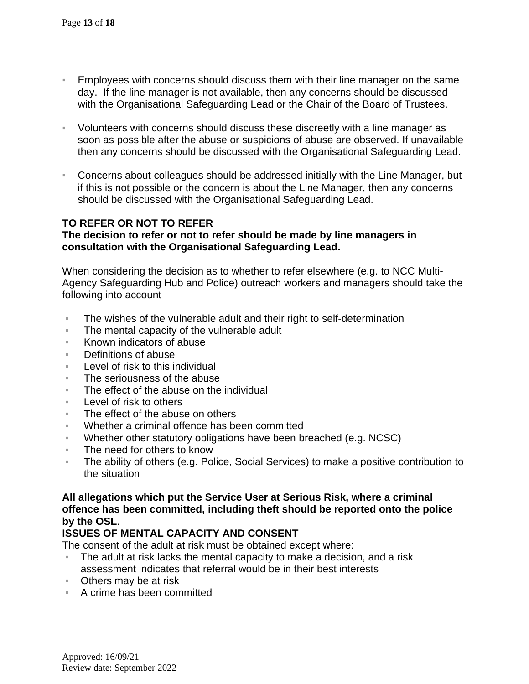- Employees with concerns should discuss them with their line manager on the same day. If the line manager is not available, then any concerns should be discussed with the Organisational Safeguarding Lead or the Chair of the Board of Trustees.
- Volunteers with concerns should discuss these discreetly with a line manager as soon as possible after the abuse or suspicions of abuse are observed. If unavailable then any concerns should be discussed with the Organisational Safeguarding Lead.
- Concerns about colleagues should be addressed initially with the Line Manager, but if this is not possible or the concern is about the Line Manager, then any concerns should be discussed with the Organisational Safeguarding Lead.

## **TO REFER OR NOT TO REFER**

#### **The decision to refer or not to refer should be made by line managers in consultation with the Organisational Safeguarding Lead.**

When considering the decision as to whether to refer elsewhere (e.g. to NCC Multi-Agency Safeguarding Hub and Police) outreach workers and managers should take the following into account

- The wishes of the vulnerable adult and their right to self-determination
- The mental capacity of the vulnerable adult
- Known indicators of abuse
- Definitions of abuse
- Level of risk to this individual
- The seriousness of the abuse
- The effect of the abuse on the individual
- Level of risk to others
- The effect of the abuse on others
- Whether a criminal offence has been committed
- Whether other statutory obligations have been breached (e.g. NCSC)
- The need for others to know
- The ability of others (e.g. Police, Social Services) to make a positive contribution to the situation

#### **All allegations which put the Service User at Serious Risk, where a criminal offence has been committed, including theft should be reported onto the police by the OSL**.

#### **ISSUES OF MENTAL CAPACITY AND CONSENT**

The consent of the adult at risk must be obtained except where:

- The adult at risk lacks the mental capacity to make a decision, and a risk assessment indicates that referral would be in their best interests
- Others may be at risk
- A crime has been committed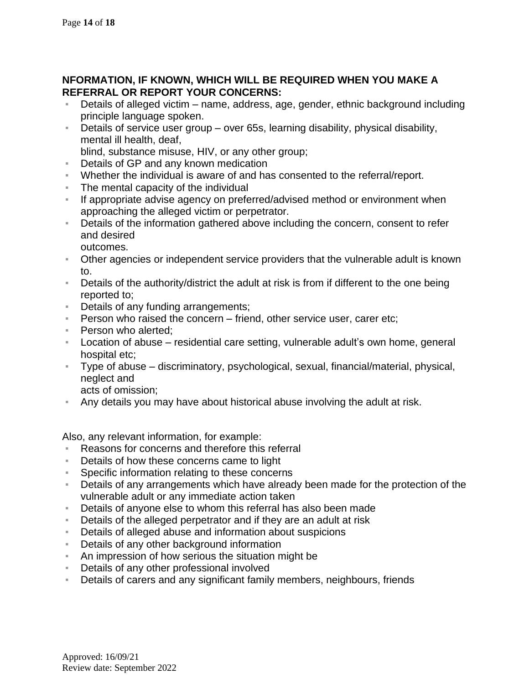## **NFORMATION, IF KNOWN, WHICH WILL BE REQUIRED WHEN YOU MAKE A REFERRAL OR REPORT YOUR CONCERNS:**

- Details of alleged victim name, address, age, gender, ethnic background including principle language spoken.
- Details of service user group over 65s, learning disability, physical disability, mental ill health, deaf,

blind, substance misuse, HIV, or any other group;

- **E** Details of GP and any known medication
- Whether the individual is aware of and has consented to the referral/report.
- The mental capacity of the individual
- **EXED If appropriate advise agency on preferred/advised method or environment when** approaching the alleged victim or perpetrator.
- **EXECT** Details of the information gathered above including the concern, consent to refer and desired outcomes.
- Other agencies or independent service providers that the vulnerable adult is known to.
- Details of the authority/district the adult at risk is from if different to the one being reported to;
- Details of any funding arrangements;
- **Person who raised the concern friend, other service user, carer etc;**
- Person who alerted:
- Location of abuse residential care setting, vulnerable adult's own home, general hospital etc;
- Type of abuse discriminatory, psychological, sexual, financial/material, physical, neglect and

acts of omission;

Any details you may have about historical abuse involving the adult at risk.

Also, any relevant information, for example:

- Reasons for concerns and therefore this referral
- Details of how these concerns came to light
- **EXE** Specific information relating to these concerns
- Details of any arrangements which have already been made for the protection of the vulnerable adult or any immediate action taken
- Details of anyone else to whom this referral has also been made
- Details of the alleged perpetrator and if they are an adult at risk
- Details of alleged abuse and information about suspicions
- **EXED** Details of any other background information
- An impression of how serious the situation might be
- Details of any other professional involved
- Details of carers and any significant family members, neighbours, friends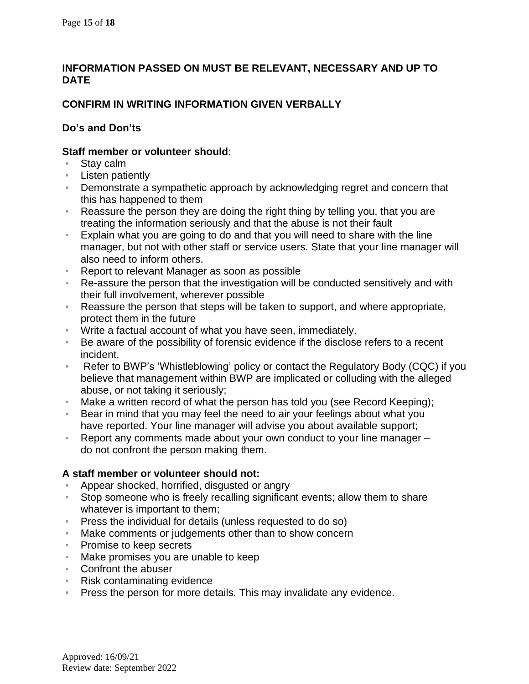## **INFORMATION PASSED ON MUST BE RELEVANT, NECESSARY AND UP TO DATE**

## **CONFIRM IN WRITING INFORMATION GIVEN VERBALLY**

## **Do's and Don'ts**

#### **Staff member or volunteer should**:

- Stay calm
- Listen patiently
- **EXEDEMONSTATE:** Demonstrate a sympathetic approach by acknowledging regret and concern that this has happened to them
- Reassure the person they are doing the right thing by telling you, that you are treating the information seriously and that the abuse is not their fault
- Explain what you are going to do and that you will need to share with the line manager, but not with other staff or service users. State that your line manager will also need to inform others.
- Report to relevant Manager as soon as possible
- Re-assure the person that the investigation will be conducted sensitively and with their full involvement, wherever possible
- Reassure the person that steps will be taken to support, and where appropriate, protect them in the future
- Write a factual account of what you have seen, immediately.
- Be aware of the possibility of forensic evidence if the disclose refers to a recent incident.
- Refer to BWP's 'Whistleblowing' policy or contact the Regulatory Body (CQC) if you believe that management within BWP are implicated or colluding with the alleged abuse, or not taking it seriously;
- Make a written record of what the person has told you (see Record Keeping);
- **EXECT** Bear in mind that you may feel the need to air your feelings about what you have reported. Your line manager will advise you about available support;
- Report any comments made about your own conduct to your line manager do not confront the person making them.

## **A staff member or volunteer should not:**

- Appear shocked, horrified, disgusted or angry
- Stop someone who is freely recalling significant events; allow them to share whatever is important to them;
- **Press the individual for details (unless requested to do so)**
- Make comments or judgements other than to show concern
- Promise to keep secrets
- Make promises you are unable to keep
- Confront the abuser
- Risk contaminating evidence
- Press the person for more details. This may invalidate any evidence.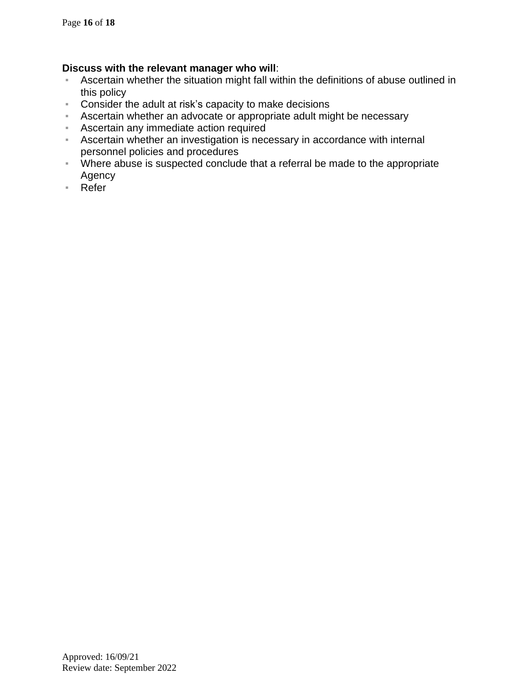#### **Discuss with the relevant manager who will**:

- **EXED** Ascertain whether the situation might fall within the definitions of abuse outlined in this policy
- Consider the adult at risk's capacity to make decisions
- **EXEDERIM** Ascertain whether an advocate or appropriate adult might be necessary
- **EXEC** Ascertain any immediate action required
- **EXECT** Ascertain whether an investigation is necessary in accordance with internal personnel policies and procedures
- Where abuse is suspected conclude that a referral be made to the appropriate Agency
- Refer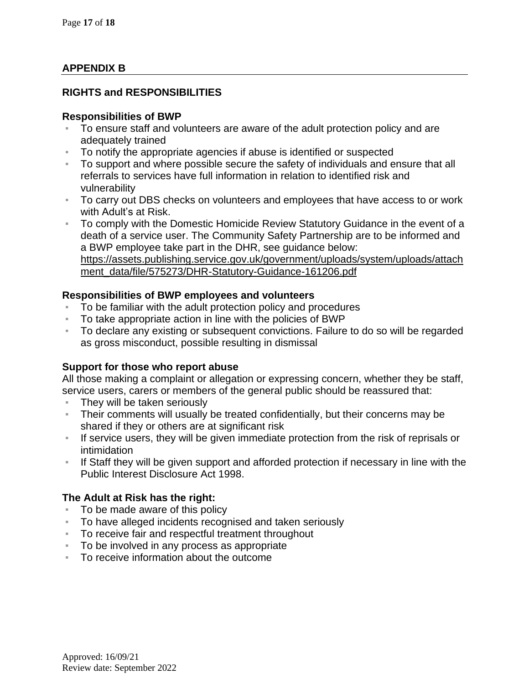## **APPENDIX B**

## **RIGHTS and RESPONSIBILITIES**

#### **Responsibilities of BWP**

- To ensure staff and volunteers are aware of the adult protection policy and are adequately trained
- To notify the appropriate agencies if abuse is identified or suspected
- To support and where possible secure the safety of individuals and ensure that all referrals to services have full information in relation to identified risk and vulnerability
- To carry out DBS checks on volunteers and employees that have access to or work with Adult's at Risk.
- To comply with the Domestic Homicide Review Statutory Guidance in the event of a death of a service user. The Community Safety Partnership are to be informed and a BWP employee take part in the DHR, see guidance below: [https://assets.publishing.service.gov.uk/government/uploads/system/uploads/attach](https://assets.publishing.service.gov.uk/government/uploads/system/uploads/attachment_data/file/575273/DHR-Statutory-Guidance-161206.pdf) [ment\\_data/file/575273/DHR-Statutory-Guidance-161206.pdf](https://assets.publishing.service.gov.uk/government/uploads/system/uploads/attachment_data/file/575273/DHR-Statutory-Guidance-161206.pdf)

#### **Responsibilities of BWP employees and volunteers**

- To be familiar with the adult protection policy and procedures
- To take appropriate action in line with the policies of BWP
- To declare any existing or subsequent convictions. Failure to do so will be regarded as gross misconduct, possible resulting in dismissal

#### **Support for those who report abuse**

All those making a complaint or allegation or expressing concern, whether they be staff, service users, carers or members of the general public should be reassured that:

- **EXEQ They will be taken seriously**
- **EXED Their comments will usually be treated confidentially, but their concerns may be** shared if they or others are at significant risk
- **EXECT** If service users, they will be given immediate protection from the risk of reprisals or intimidation
- If Staff they will be given support and afforded protection if necessary in line with the Public Interest Disclosure Act 1998.

#### **The Adult at Risk has the right:**

- To be made aware of this policy
- To have alleged incidents recognised and taken seriously
- To receive fair and respectful treatment throughout
- To be involved in any process as appropriate
- To receive information about the outcome